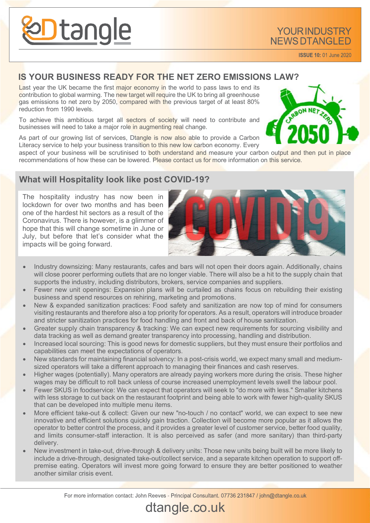

**ISSUE 10: 01 June 2020** 

#### **IS YOUR BUSINESS READY FOR THE NET ZERO EMISSIONS LAW?**

Last year the UK became the first major economy in the world to pass laws to end its contribution to global warming. The new target will require the UK to bring all greenhouse gas emissions to net zero by 2050, compared with the previous target of at least 80% reduction from 1990 levels.

To achieve this ambitious target all sectors of society will need to contribute and businesses will need to take a major role in augmenting real change.

As part of our growing list of services, Dtangle is now also able to provide a Carbon Literacy service to help your business transition to this new low carbon economy. Every

aspect of your business will be scrutinised to both understand and measure your carbon output and then put in place recommendations of how these can be lowered. Please contact us for more information on this service.

#### **What will Hospitality look like post COVID-19?**

The hospitality industry has now been in lockdown for over two months and has been one of the hardest hit sectors as a result of the Coronavirus. There is however, is a glimmer of hope that this will change sometime in June or July, but before that let's consider what the impacts will be going forward.



- Industry downsizing: Many restaurants, cafes and bars will not open their doors again. Additionally, chains will close poorer performing outlets that are no longer viable. There will also be a hit to the supply chain that supports the industry, including distributors, brokers, service companies and suppliers.
- Fewer new unit openings: Expansion plans will be curtailed as chains focus on rebuilding their existing business and spend resources on rehiring, marketing and promotions.
- New & expanded sanitization practices: Food safety and sanitization are now top of mind for consumers visiting restaurants and therefore also a top priority for operators. As a result, operators will introduce broader and stricter sanitization practices for food handling and front and back of house sanitization.
- Greater supply chain transparency & tracking: We can expect new requirements for sourcing visibility and data tracking as well as demand greater transparency into processing, handling and distribution.
- Increased local sourcing: This is good news for domestic suppliers, but they must ensure their portfolios and capabilities can meet the expectations of operators.
- New standards for maintaining financial solvency: In a post-crisis world, we expect many small and mediumsized operators will take a different approach to managing their finances and cash reserves.
- Higher wages (potentially). Many operators are already paying workers more during the crisis. These higher wages may be difficult to roll back unless of course increased unemployment levels swell the labour pool.
- Fewer SKUS in foodservice: We can expect that operators will seek to "do more with less." Smaller kitchens with less storage to cut back on the restaurant footprint and being able to work with fewer high-quality SKUS that can be developed into multiple menu items.
- More efficient take-out & collect: Given our new "no-touch / no contact" world, we can expect to see new innovative and efficient solutions quickly gain traction. Collection will become more popular as it allows the operator to better control the process, and it provides a greater level of customer service, better food quality, and limits consumer-staff interaction. It is also perceived as safer (and more sanitary) than third-party delivery.
- New investment in take-out, drive-through & delivery units: Those new units being built will be more likely to include a drive-through, designated take-out/collect service, and a separate kitchen operation to support offpremise eating. Operators will invest more going forward to ensure they are better positioned to weather another similar crisis event.

dtangle.co.uk